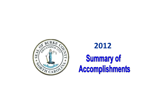

# **Summary of** Accomplishments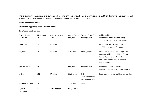The following information is a brief summary of accomplishments by the Board of Commissioners and Staff during the calendar year and does not identify every activity that was completed to benefit our citizens during 2012.

# **Economic Development**

\*Information supplied by Burke Development Inc.

## *Recruitment and Expansion*

| <b>Project Name</b>          | New Jobs | New Investment | <b>Grant Funds</b> | <b>Type of Grant Funds Additional Benefit</b>        |                                                                                                                                                                                  |
|------------------------------|----------|----------------|--------------------|------------------------------------------------------|----------------------------------------------------------------------------------------------------------------------------------------------------------------------------------|
| Spartacraft                  | 15       | \$500,000      | \$60,000           | <b>Building Reuse</b>                                | Expansion/Renovation of existing<br>plant to accommodate more production                                                                                                         |
| James Tool                   | 35       | \$2 million    |                    |                                                      | Expansion/construction of new<br>30,000 sq.ft. building/new machinery                                                                                                            |
| Siegwerks                    | 20       | \$3 million    | \$240,000          | <b>Building Reuse</b>                                | Expansion of water based ink process.<br>Company will lease 65,000 sq. ft from<br>former Capri manufacturing facility<br>which was redeveloped in part due<br>to this expansion. |
| Zion Industries              | 15       |                | \$60,000           | <b>Building Reuse</b>                                | Expansion of current facility<br>Adding 10,000 sq. ft. to current building                                                                                                       |
| Leviton                      | 152      | \$7 million    | \$1.2 million      | <b>JDIG</b><br>(Job Development<br>Investment Grant) | Expansion of current facility with new line                                                                                                                                      |
| <b>Fitzgerald Nursery</b>    | 10       |                | \$250,000          | <b>SBEA</b>                                          |                                                                                                                                                                                  |
| <b>TOTALS</b><br>Page 2 of 6 | 247      | \$12.5 Million | \$1.8 Million      |                                                      |                                                                                                                                                                                  |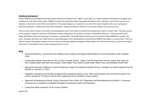#### *Workforce Development*

Project RENEW was developed and implemented by Burke Development Inc. (BDI) in early 2012 as a unique workforce development program with funding from a NC Rural Center grant. RENEW stands for Re-Educating a New Employable Workforce and is a 96-hour course that is meant to reeducate, re-tool and re-invent the local workforce. The project began as a response to concerns from local companies who saw a skills gap in potential employees. Collaboration with these employers, along with Western Piedmont Community College, led to early success.

The first class, which ended in June 2012, had 44 graduates and 37 were able to find full time employment within a month's time. The early success of this program caught the attention of the North Carolina Department of Commerce Division of Workforce Solutions. In late November 2012, Roger Shackleford, Assistant Secretary of Commerce, awarded BDI a \$154,594 demonstration grant to continue Project RENEW for another two years. The grant will allow up to 300 citizens to take advantage of the training platform and the third RENEW class begins in January 2013. There are plans to expand the program, deepen the curriculum and develop additional employer relationships, all of which will continue to grow the program and result in more Burke County citizens being put back to work.

### **Other**

- Received Efficiency Assessment and Staffing Level Analysis and began implementation of recommendations with available funds
- Temporarily waived certain fees for 01-11-2012 Tornado Victims: Septic Tank Re-inspection Fees for victims that could use their existing septic tank after reconnection; Solid Waste Fees, Burke County Water Sewer Fees, and Building Permit Fees
- Approved temporary Ordinance to permit temporary usage of recreational vehicles (RVs) or campers by citizens impacted by the tornado on January 11, 2012.
- Adopted a resolution and formally recognized the exceptional actions of our Tele-Communicators who served the needs of our citizens during the Tornado as well as their ongoing service to all Burke County citizens.
- Approved Amendments to Burke County Personnel Policy Article VIII. Separation and Reinstatement and Article X. Grievance Procedure for Complaints of Unlawful Workplace Harassment and/or Discrimination.
- Conducted safety inspection of all County Facilities.

Page **3** of **6**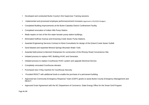- Developed and conducted Burke County's first Supervisor Training sessions.
- Implemented and processed employee performance/merit increases (approved in 2012/2013 budget.)
- Completed Building Improvements at the Burke-Catawba District Confinement Facility.
- Completed renovation of Indian Hills Pump Station.
- Made repairs on two of the five water booster pump station buildings.
- Eliminated Huffman Avenue and Drowning Creek Sewer Pump Stations.
- Awarded Engineering Services Contract to West Consultants for design of the Eckerd Creek Sewer Outfall.
- Sand blasted and repainted Mineral Springs Mountain Water Tank.
- $\bullet$ Awarded bid/contract to Bennick Enterprises for construction of the Rhoney Road Convenience Site.
- Initiated process to replace HRC Building HVAC and Generator.
- Initiated process to replace Courthouse HVAC system and upgrade Electrical Service.
- Completely renovated Courthouse elevator.
- Purchased new X-Ray machine for Courthouse Security.
- Provided REACT with additional funds to enable the purchase of a permanent building.
- • Approved two Community Emergency Response Team (CERT) grants to assist Burke County Emergency Management and REACT.
- Approved Grant Agreement with the NC Department of Commerce, State Energy Office for the Smart Grid Program.

Page **4** of **6**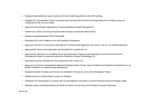- Replaced failed telephone system used by DSS and Health Department at the HRC Building.
- Engaged 911 Consolidation Project Consultant and contracted with Architect and Engineering firm to initiate process for construction of the new 911 facility.
- Approved Formal Merger Agreement for Partners Behavioral Health Management.
- •Entered into a MOU concerning mutual aid with the Burke Cooperative Water Board.
- Replaced outdated/obsolete PAN at the landfill.
- Relocated DSS unit in Valdese to the HRC Building in Morganton.
- Approved execution of an Economic Development Incentive Grant Agreement with James Tool, Inc. for building expansion.
- Approved NC Reuse Grant Application and Resolution for SpartaCraft, Inc.
- • Approved the submission of a Building Reuse and Restoration Program Grant Application to the NC Rural Economic Development Center for proposed expansion of facilities at Master Workholding, Inc.
- Approved Economic Development Grant Agreement with Leviton, Inc.
- Approved an Economic Development Agreement between Burke County, Town of Valdese and Rhodhiss Development LLC to enable completion of a failed housing development.
- Adopted Schedule of Values and Present Use Schedule of Values for use in 2013 Revaluation Project.
- •Initiated process to replace Burke County Tax Software.
- Authorized Tax Administrator to contract with Tax Management Associates to perform Business Personal Property Audits.
- Adopted a policy mandating background checks for Burke County Parks and Recreation Program Volunteers.

Page **5** of **6**